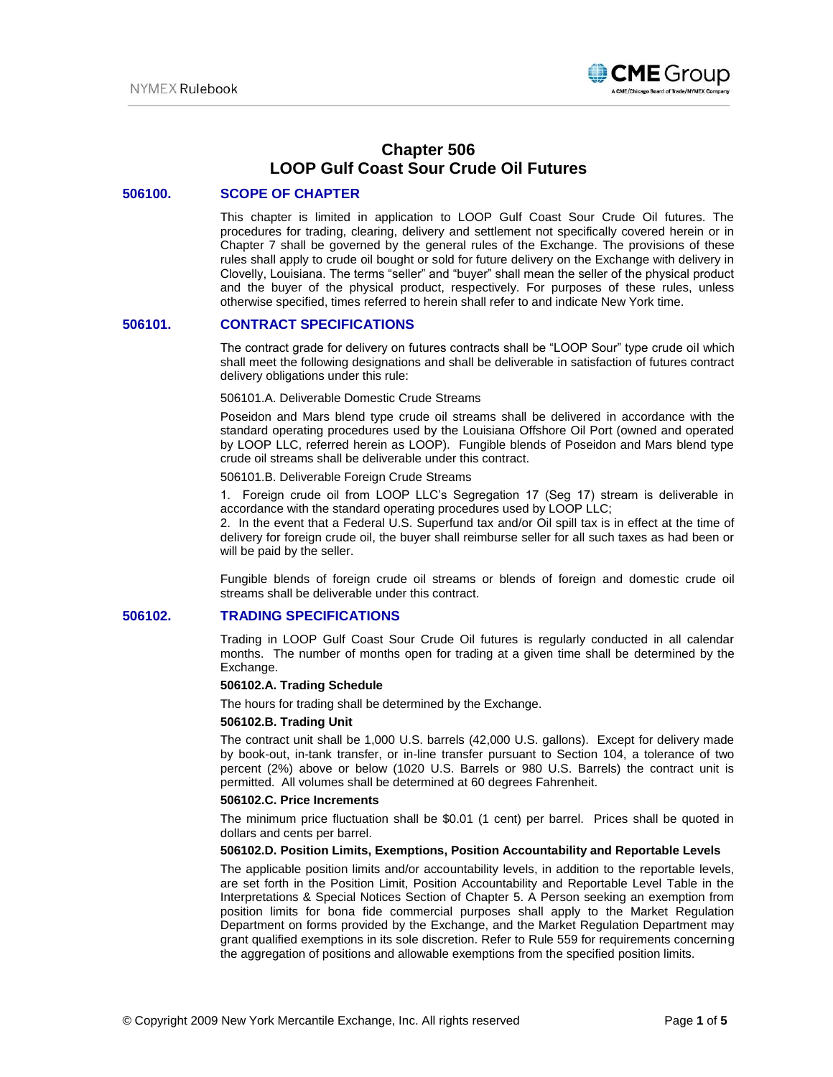

# **Chapter 506 LOOP Gulf Coast Sour Crude Oil Futures**

### **506100. SCOPE OF CHAPTER**

This chapter is limited in application to LOOP Gulf Coast Sour Crude Oil futures. The procedures for trading, clearing, delivery and settlement not specifically covered herein or in Chapter 7 shall be governed by the general rules of the Exchange. The provisions of these rules shall apply to crude oil bought or sold for future delivery on the Exchange with delivery in Clovelly, Louisiana. The terms "seller" and "buyer" shall mean the seller of the physical product and the buyer of the physical product, respectively. For purposes of these rules, unless otherwise specified, times referred to herein shall refer to and indicate New York time.

### **506101. CONTRACT SPECIFICATIONS**

The contract grade for delivery on futures contracts shall be "LOOP Sour" type crude oil which shall meet the following designations and shall be deliverable in satisfaction of futures contract delivery obligations under this rule:

#### 506101.A. Deliverable Domestic Crude Streams

Poseidon and Mars blend type crude oil streams shall be delivered in accordance with the standard operating procedures used by the Louisiana Offshore Oil Port (owned and operated by LOOP LLC, referred herein as LOOP). Fungible blends of Poseidon and Mars blend type crude oil streams shall be deliverable under this contract.

#### 506101.B. Deliverable Foreign Crude Streams

1. Foreign crude oil from LOOP LLC's Segregation 17 (Seg 17) stream is deliverable in accordance with the standard operating procedures used by LOOP LLC;

2. In the event that a Federal U.S. Superfund tax and/or Oil spill tax is in effect at the time of delivery for foreign crude oil, the buyer shall reimburse seller for all such taxes as had been or will be paid by the seller.

Fungible blends of foreign crude oil streams or blends of foreign and domestic crude oil streams shall be deliverable under this contract.

### **506102. TRADING SPECIFICATIONS**

Trading in LOOP Gulf Coast Sour Crude Oil futures is regularly conducted in all calendar months. The number of months open for trading at a given time shall be determined by the Exchange.

#### **506102.A. Trading Schedule**

The hours for trading shall be determined by the Exchange.

#### **506102.B. Trading Unit**

The contract unit shall be 1,000 U.S. barrels (42,000 U.S. gallons). Except for delivery made by book-out, in-tank transfer, or in-line transfer pursuant to Section 104, a tolerance of two percent (2%) above or below (1020 U.S. Barrels or 980 U.S. Barrels) the contract unit is permitted. All volumes shall be determined at 60 degrees Fahrenheit.

#### **506102.C. Price Increments**

The minimum price fluctuation shall be \$0.01 (1 cent) per barrel. Prices shall be quoted in dollars and cents per barrel.

#### **506102.D. Position Limits, Exemptions, Position Accountability and Reportable Levels**

The applicable position limits and/or accountability levels, in addition to the reportable levels, are set forth in the Position Limit, Position Accountability and Reportable Level Table in the Interpretations & Special Notices Section of Chapter 5. A Person seeking an exemption from position limits for bona fide commercial purposes shall apply to the Market Regulation Department on forms provided by the Exchange, and the Market Regulation Department may grant qualified exemptions in its sole discretion. Refer to Rule 559 for requirements concerning the aggregation of positions and allowable exemptions from the specified position limits.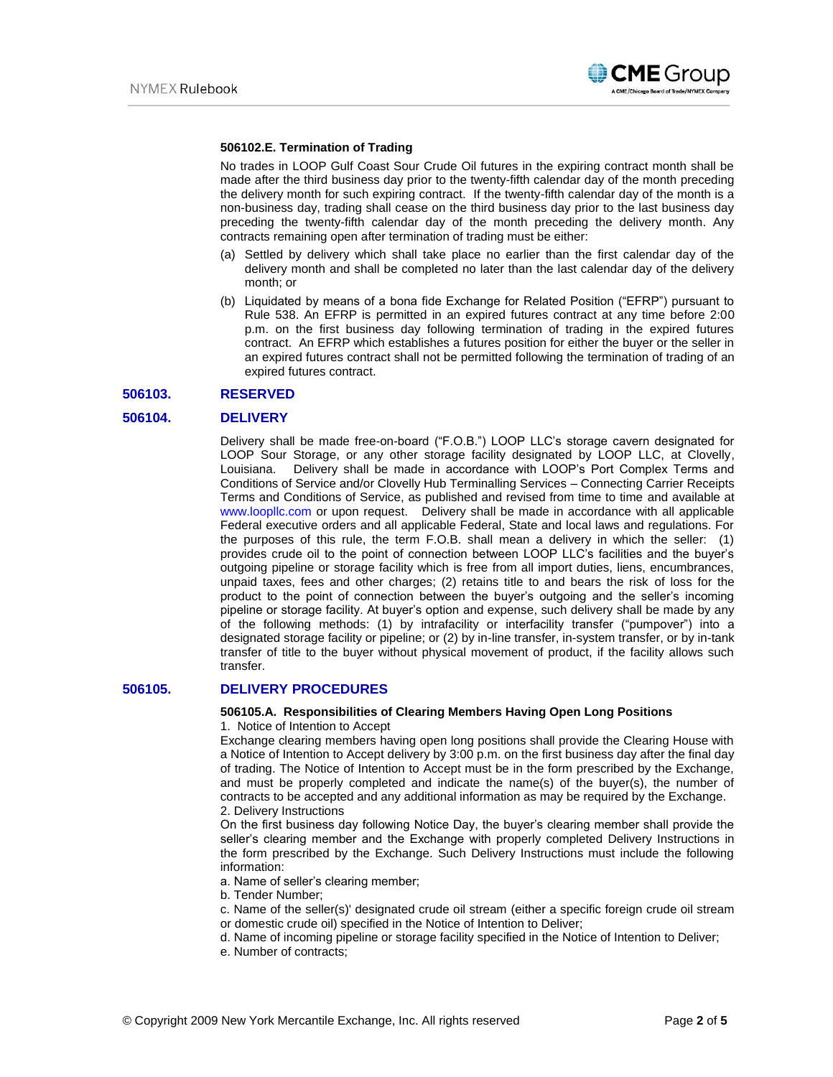

### **506102.E. Termination of Trading**

No trades in LOOP Gulf Coast Sour Crude Oil futures in the expiring contract month shall be made after the third business day prior to the twenty-fifth calendar day of the month preceding the delivery month for such expiring contract. If the twenty-fifth calendar day of the month is a non-business day, trading shall cease on the third business day prior to the last business day preceding the twenty-fifth calendar day of the month preceding the delivery month. Any contracts remaining open after termination of trading must be either:

- (a) Settled by delivery which shall take place no earlier than the first calendar day of the delivery month and shall be completed no later than the last calendar day of the delivery month; or
- (b) Liquidated by means of a bona fide Exchange for Related Position ("EFRP") pursuant to Rule 538. An EFRP is permitted in an expired futures contract at any time before 2:00 p.m. on the first business day following termination of trading in the expired futures contract. An EFRP which establishes a futures position for either the buyer or the seller in an expired futures contract shall not be permitted following the termination of trading of an expired futures contract.

### **506103. RESERVED**

### **506104. DELIVERY**

Delivery shall be made free-on-board ("F.O.B.") LOOP LLC's storage cavern designated for LOOP Sour Storage, or any other storage facility designated by LOOP LLC, at Clovelly, Louisiana. Delivery shall be made in accordance with LOOP's Port Complex Terms and Conditions of Service and/or Clovelly Hub Terminalling Services – Connecting Carrier Receipts Terms and Conditions of Service, as published and revised from time to time and available at [www.loopllc.com](http://www.loopllc.com/) or upon request. Delivery shall be made in accordance with all applicable Federal executive orders and all applicable Federal, State and local laws and regulations. For the purposes of this rule, the term F.O.B. shall mean a delivery in which the seller: (1) provides crude oil to the point of connection between LOOP LLC's facilities and the buyer's outgoing pipeline or storage facility which is free from all import duties, liens, encumbrances, unpaid taxes, fees and other charges; (2) retains title to and bears the risk of loss for the product to the point of connection between the buyer's outgoing and the seller's incoming pipeline or storage facility. At buyer's option and expense, such delivery shall be made by any of the following methods: (1) by intrafacility or interfacility transfer ("pumpover") into a designated storage facility or pipeline; or (2) by in-line transfer, in-system transfer, or by in-tank transfer of title to the buyer without physical movement of product, if the facility allows such transfer.

### **506105. DELIVERY PROCEDURES**

#### **506105.A. Responsibilities of Clearing Members Having Open Long Positions**

1. Notice of Intention to Accept

Exchange clearing members having open long positions shall provide the Clearing House with a Notice of Intention to Accept delivery by 3:00 p.m. on the first business day after the final day of trading. The Notice of Intention to Accept must be in the form prescribed by the Exchange, and must be properly completed and indicate the name(s) of the buyer(s), the number of contracts to be accepted and any additional information as may be required by the Exchange. 2. Delivery Instructions

On the first business day following Notice Day, the buyer's clearing member shall provide the seller's clearing member and the Exchange with properly completed Delivery Instructions in the form prescribed by the Exchange. Such Delivery Instructions must include the following information:

- a. Name of seller's clearing member;
- b. Tender Number;
- c. Name of the seller(s)' designated crude oil stream (either a specific foreign crude oil stream or domestic crude oil) specified in the Notice of Intention to Deliver;
- d. Name of incoming pipeline or storage facility specified in the Notice of Intention to Deliver;
- e. Number of contracts;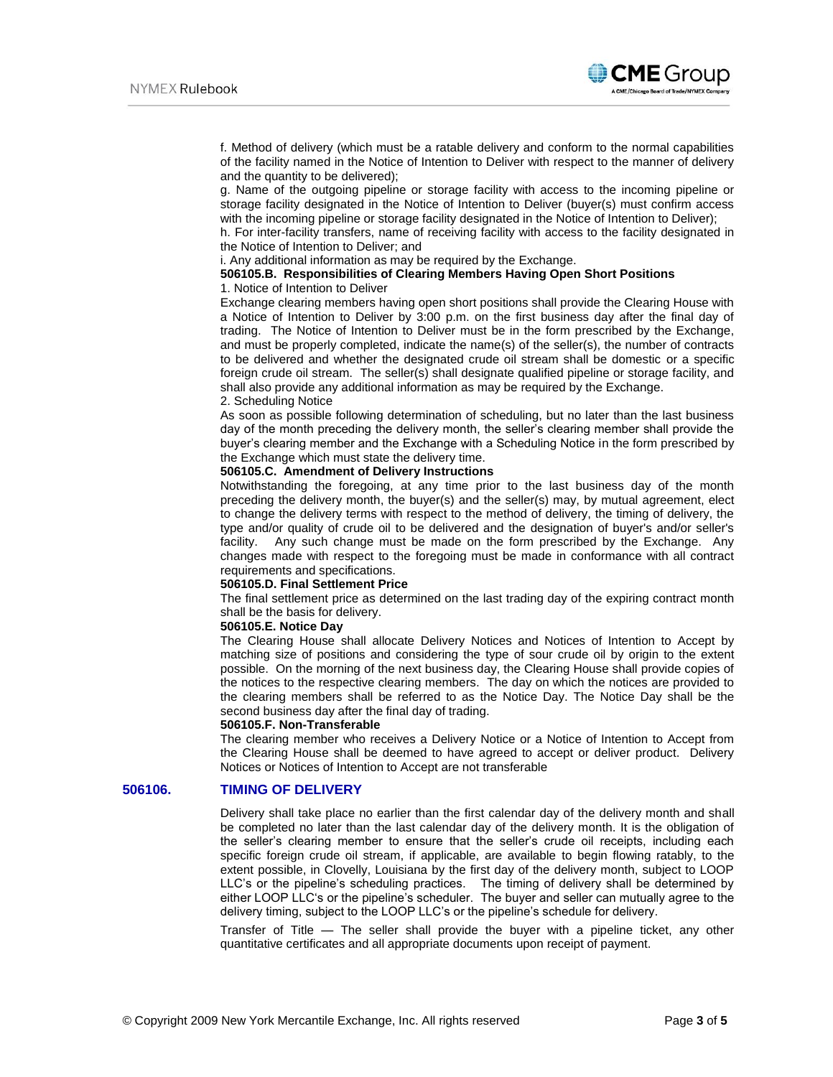

f. Method of delivery (which must be a ratable delivery and conform to the normal capabilities of the facility named in the Notice of Intention to Deliver with respect to the manner of delivery and the quantity to be delivered);

g. Name of the outgoing pipeline or storage facility with access to the incoming pipeline or storage facility designated in the Notice of Intention to Deliver (buyer(s) must confirm access with the incoming pipeline or storage facility designated in the Notice of Intention to Deliver);

h. For inter-facility transfers, name of receiving facility with access to the facility designated in the Notice of Intention to Deliver; and

i. Any additional information as may be required by the Exchange.

### **506105.B. Responsibilities of Clearing Members Having Open Short Positions** 1. Notice of Intention to Deliver

Exchange clearing members having open short positions shall provide the Clearing House with a Notice of Intention to Deliver by 3:00 p.m. on the first business day after the final day of trading. The Notice of Intention to Deliver must be in the form prescribed by the Exchange, and must be properly completed, indicate the name(s) of the seller(s), the number of contracts to be delivered and whether the designated crude oil stream shall be domestic or a specific foreign crude oil stream. The seller(s) shall designate qualified pipeline or storage facility, and shall also provide any additional information as may be required by the Exchange. 2. Scheduling Notice

As soon as possible following determination of scheduling, but no later than the last business day of the month preceding the delivery month, the seller's clearing member shall provide the buyer's clearing member and the Exchange with a Scheduling Notice in the form prescribed by the Exchange which must state the delivery time.

### **506105.C. Amendment of Delivery Instructions**

Notwithstanding the foregoing, at any time prior to the last business day of the month preceding the delivery month, the buyer(s) and the seller(s) may, by mutual agreement, elect to change the delivery terms with respect to the method of delivery, the timing of delivery, the type and/or quality of crude oil to be delivered and the designation of buyer's and/or seller's facility. Any such change must be made on the form prescribed by the Exchange. Any changes made with respect to the foregoing must be made in conformance with all contract requirements and specifications.

#### **506105.D. Final Settlement Price**

The final settlement price as determined on the last trading day of the expiring contract month shall be the basis for delivery.

### **506105.E. Notice Day**

The Clearing House shall allocate Delivery Notices and Notices of Intention to Accept by matching size of positions and considering the type of sour crude oil by origin to the extent possible. On the morning of the next business day, the Clearing House shall provide copies of the notices to the respective clearing members. The day on which the notices are provided to the clearing members shall be referred to as the Notice Day. The Notice Day shall be the second business day after the final day of trading.

#### **506105.F. Non-Transferable**

The clearing member who receives a Delivery Notice or a Notice of Intention to Accept from the Clearing House shall be deemed to have agreed to accept or deliver product. Delivery Notices or Notices of Intention to Accept are not transferable

#### **506106. TIMING OF DELIVERY**

Delivery shall take place no earlier than the first calendar day of the delivery month and shall be completed no later than the last calendar day of the delivery month. It is the obligation of the seller's clearing member to ensure that the seller's crude oil receipts, including each specific foreign crude oil stream, if applicable, are available to begin flowing ratably, to the extent possible, in Clovelly, Louisiana by the first day of the delivery month, subject to LOOP LLC's or the pipeline's scheduling practices. The timing of delivery shall be determined by either LOOP LLC's or the pipeline's scheduler. The buyer and seller can mutually agree to the delivery timing, subject to the LOOP LLC's or the pipeline's schedule for delivery.

Transfer of Title — The seller shall provide the buyer with a pipeline ticket, any other quantitative certificates and all appropriate documents upon receipt of payment.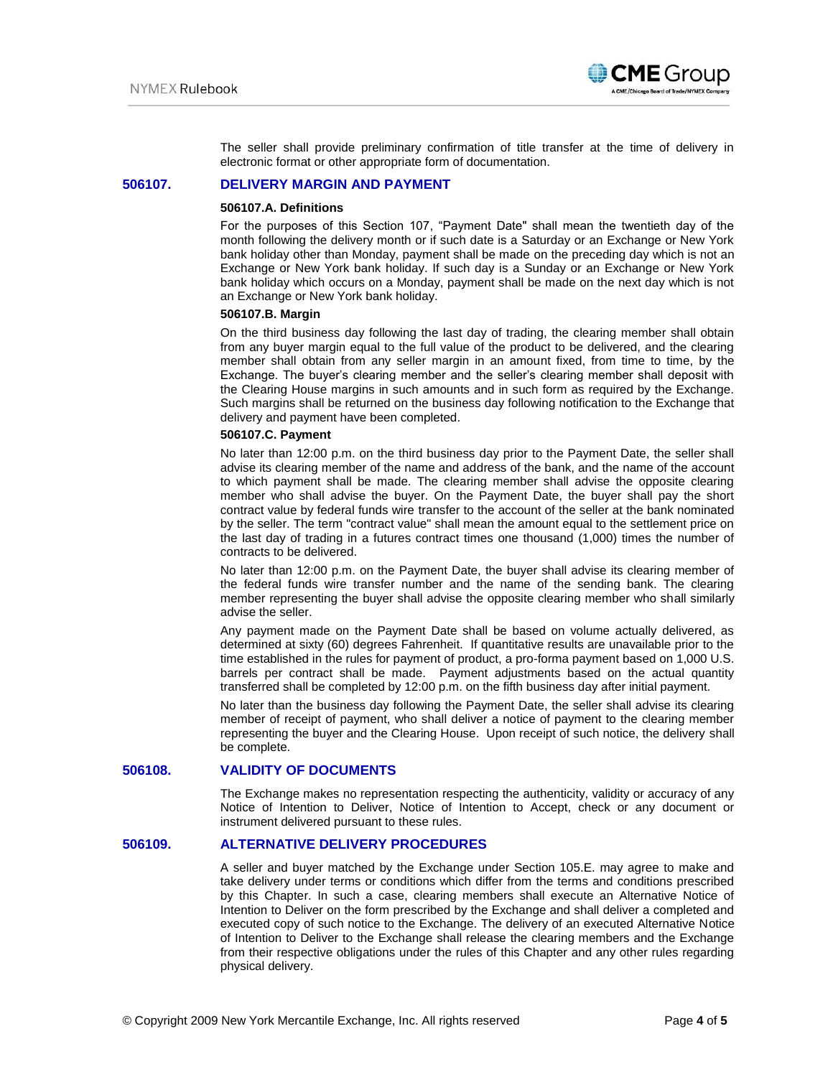

The seller shall provide preliminary confirmation of title transfer at the time of delivery in electronic format or other appropriate form of documentation.

### **506107. DELIVERY MARGIN AND PAYMENT**

#### **506107.A. Definitions**

For the purposes of this Section 107, "Payment Date" shall mean the twentieth day of the month following the delivery month or if such date is a Saturday or an Exchange or New York bank holiday other than Monday, payment shall be made on the preceding day which is not an Exchange or New York bank holiday. If such day is a Sunday or an Exchange or New York bank holiday which occurs on a Monday, payment shall be made on the next day which is not an Exchange or New York bank holiday.

### **506107.B. Margin**

On the third business day following the last day of trading, the clearing member shall obtain from any buyer margin equal to the full value of the product to be delivered, and the clearing member shall obtain from any seller margin in an amount fixed, from time to time, by the Exchange. The buyer's clearing member and the seller's clearing member shall deposit with the Clearing House margins in such amounts and in such form as required by the Exchange. Such margins shall be returned on the business day following notification to the Exchange that delivery and payment have been completed.

#### **506107.C. Payment**

No later than 12:00 p.m. on the third business day prior to the Payment Date, the seller shall advise its clearing member of the name and address of the bank, and the name of the account to which payment shall be made. The clearing member shall advise the opposite clearing member who shall advise the buyer. On the Payment Date, the buyer shall pay the short contract value by federal funds wire transfer to the account of the seller at the bank nominated by the seller. The term "contract value" shall mean the amount equal to the settlement price on the last day of trading in a futures contract times one thousand (1,000) times the number of contracts to be delivered.

No later than 12:00 p.m. on the Payment Date, the buyer shall advise its clearing member of the federal funds wire transfer number and the name of the sending bank. The clearing member representing the buyer shall advise the opposite clearing member who shall similarly advise the seller.

Any payment made on the Payment Date shall be based on volume actually delivered, as determined at sixty (60) degrees Fahrenheit. If quantitative results are unavailable prior to the time established in the rules for payment of product, a pro-forma payment based on 1,000 U.S. barrels per contract shall be made. Payment adjustments based on the actual quantity transferred shall be completed by 12:00 p.m. on the fifth business day after initial payment.

No later than the business day following the Payment Date, the seller shall advise its clearing member of receipt of payment, who shall deliver a notice of payment to the clearing member representing the buyer and the Clearing House. Upon receipt of such notice, the delivery shall be complete.

## **506108. VALIDITY OF DOCUMENTS**

The Exchange makes no representation respecting the authenticity, validity or accuracy of any Notice of Intention to Deliver, Notice of Intention to Accept, check or any document or instrument delivered pursuant to these rules.

### **506109. ALTERNATIVE DELIVERY PROCEDURES**

A seller and buyer matched by the Exchange under Section 105.E. may agree to make and take delivery under terms or conditions which differ from the terms and conditions prescribed by this Chapter. In such a case, clearing members shall execute an Alternative Notice of Intention to Deliver on the form prescribed by the Exchange and shall deliver a completed and executed copy of such notice to the Exchange. The delivery of an executed Alternative Notice of Intention to Deliver to the Exchange shall release the clearing members and the Exchange from their respective obligations under the rules of this Chapter and any other rules regarding physical delivery.